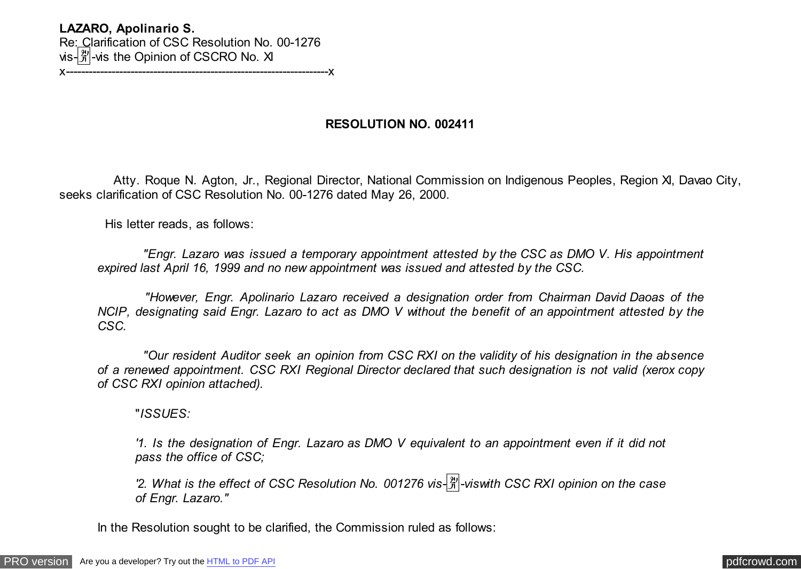**LAZARO, Apolinario S.** Re: Clarification of CSC Resolution No. 00-1276 vis- $\frac{y}{|y|}$ -vis the Opinion of CSCRO No. X

x---------------------------------------------------------------------x

**RESOLUTION NO. 002411**

 Atty. Roque N. Agton, Jr., Regional Director, National Commission on Indigenous Peoples, Region XI, Davao City, seeks clarification of CSC Resolution No. 00-1276 dated May 26, 2000.

His letter reads, as follows:

 *"Engr. Lazaro was issued a temporary appointment attested by the CSC as DMO V. His appointment expired last April 16, 1999 and no new appointment was issued and attested by the CSC.*

 *"However, Engr. Apolinario Lazaro received a designation order from Chairman David Daoas of the NCIP, designating said Engr. Lazaro to act as DMO V without the benefit of an appointment attested by the CSC.*

 *"Our resident Auditor seek an opinion from CSC RXI on the validity of his designation in the absence of a renewed appointment. CSC RXI Regional Director declared that such designation is not valid (xerox copy of CSC RXI opinion attached).*

"*ISSUES:*

*'1. Is the designation of Engr. Lazaro as DMO V equivalent to an appointment even if it did not pass the office of CSC;*

*'2. What is the effect of CSC Resolution No. 001276 vis-*�*-viswith CSC RXI opinion on the case of Engr. Lazaro."*

In the Resolution sought to be clarified, the Commission ruled as follows: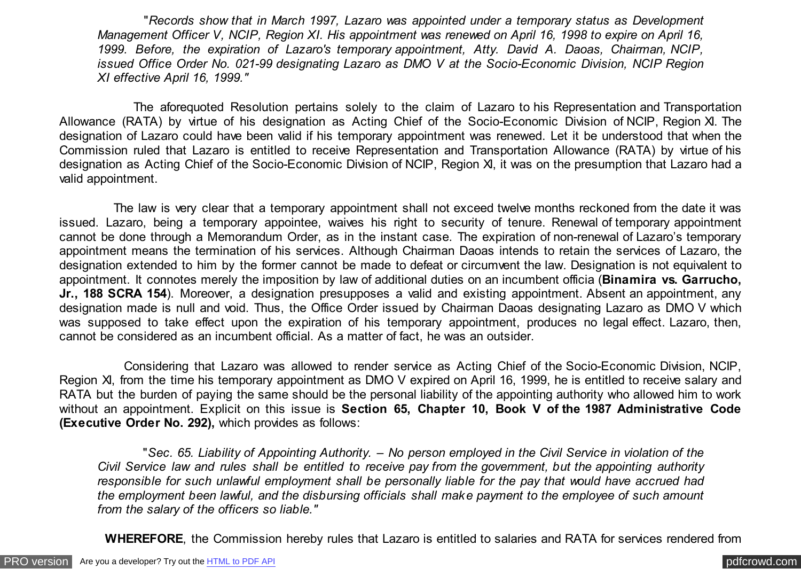"*Records show that in March 1997, Lazaro was appointed under a temporary status as Development Management Officer V, NCIP, Region XI. His appointment was renewed on April 16, 1998 to expire on April 16, 1999. Before, the expiration of Lazaro's temporary appointment, Atty. David A. Daoas, Chairman, NCIP, issued Office Order No. 021-99 designating Lazaro as DMO V at the Socio-Economic Division, NCIP Region XI effective April 16, 1999."*

 The aforequoted Resolution pertains solely to the claim of Lazaro to his Representation and Transportation Allowance (RATA) by virtue of his designation as Acting Chief of the Socio-Economic Division of NCIP, Region XI. The designation of Lazaro could have been valid if his temporary appointment was renewed. Let it be understood that when the Commission ruled that Lazaro is entitled to receive Representation and Transportation Allowance (RATA) by virtue of his designation as Acting Chief of the Socio-Economic Division of NCIP, Region XI, it was on the presumption that Lazaro had a valid appointment.

 The law is very clear that a temporary appointment shall not exceed twelve months reckoned from the date it was issued. Lazaro, being a temporary appointee, waives his right to security of tenure. Renewal of temporary appointment cannot be done through a Memorandum Order, as in the instant case. The expiration of non-renewal of Lazaro's temporary appointment means the termination of his services. Although Chairman Daoas intends to retain the services of Lazaro, the designation extended to him by the former cannot be made to defeat or circumvent the law. Designation is not equivalent to appointment. It connotes merely the imposition by law of additional duties on an incumbent officia (**Binamira vs. Garrucho, Jr., 188 SCRA 154**). Moreover, a designation presupposes a valid and existing appointment. Absent an appointment, any designation made is null and void. Thus, the Office Order issued by Chairman Daoas designating Lazaro as DMO V which was supposed to take effect upon the expiration of his temporary appointment, produces no legal effect. Lazaro, then, cannot be considered as an incumbent official. As a matter of fact, he was an outsider.

 Considering that Lazaro was allowed to render service as Acting Chief of the Socio-Economic Division, NCIP, Region XI, from the time his temporary appointment as DMO V expired on April 16, 1999, he is entitled to receive salary and RATA but the burden of paying the same should be the personal liability of the appointing authority who allowed him to work without an appointment. Explicit on this issue is **Section 65, Chapter 10, Book V of the 1987 Administrative Code (Executive Order No. 292),** which provides as follows:

 "*Sec. 65. Liability of Appointing Authority. – No person employed in the Civil Service in violation of the Civil Service law and rules shall be entitled to receive pay from the government, but the appointing authority responsible for such unlawful employment shall be personally liable for the pay that would have accrued had the employment been lawful, and the disbursing officials shall make payment to the employee of such amount from the salary of the officers so liable."*

 **WHEREFORE**, the Commission hereby rules that Lazaro is entitled to salaries and RATA for services rendered from